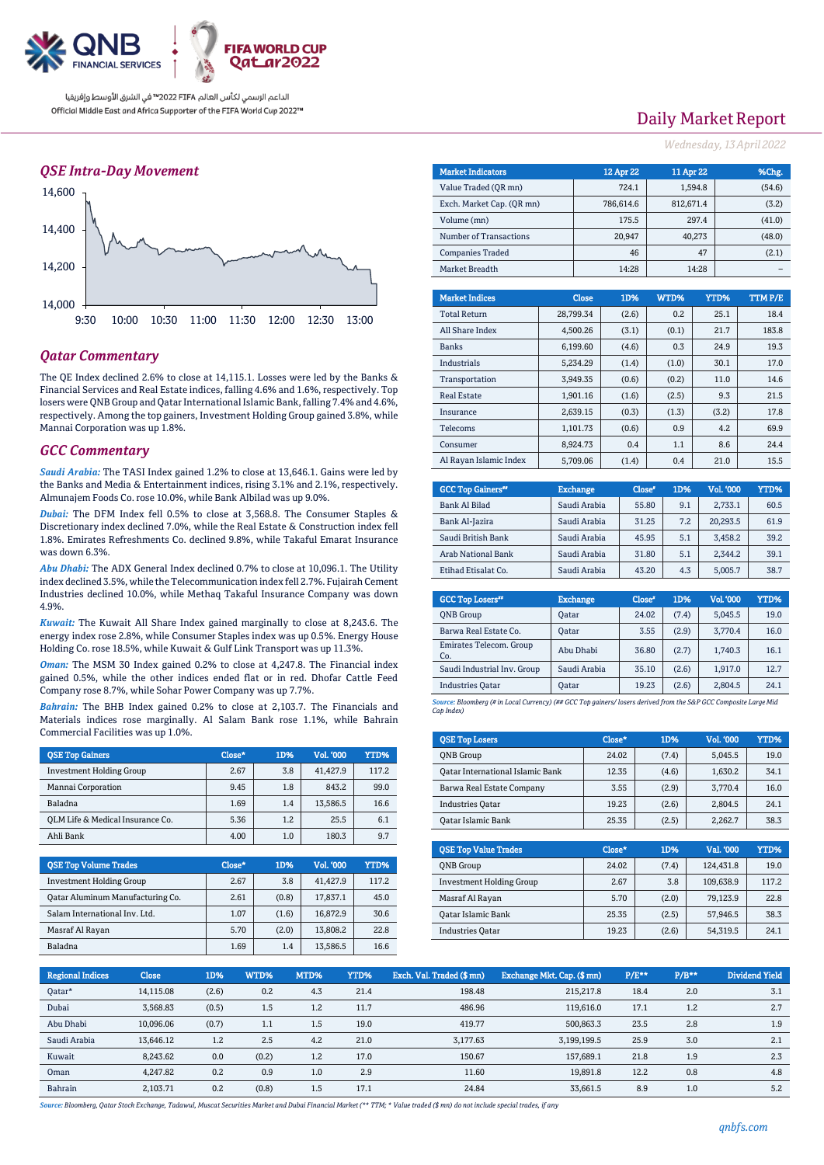

### *QSE Intra-Day Movement*



### *Qatar Commentary*

The QE Index declined 2.6% to close at 14,115.1. Losses were led by the Banks & Financial Services and Real Estate indices, falling 4.6% and 1.6%, respectively. Top losers were QNB Group and Qatar International Islamic Bank, falling 7.4% and 4.6%, respectively. Among the top gainers, Investment Holding Group gained 3.8%, while Mannai Corporation was up 1.8%.

### *GCC Commentary*

*Saudi Arabia:* The TASI Index gained 1.2% to close at 13,646.1. Gains were led by the Banks and Media & Entertainment indices, rising 3.1% and 2.1%, respectively. Almunajem Foods Co. rose 10.0%, while Bank Albilad was up 9.0%.

*Dubai:* The DFM Index fell 0.5% to close at 3,568.8. The Consumer Staples & Discretionary index declined 7.0%, while the Real Estate & Construction index fell 1.8%. Emirates Refreshments Co. declined 9.8%, while Takaful Emarat Insurance was down 6.3%.

*Abu Dhabi:* The ADX General Index declined 0.7% to close at 10,096.1. The Utility index declined 3.5%, while the Telecommunication index fell 2.7%. Fujairah Cement Industries declined 10.0%, while Methaq Takaful Insurance Company was down 4.9%.

*Kuwait:* The Kuwait All Share Index gained marginally to close at 8,243.6. The energy index rose 2.8%, while Consumer Staples index was up 0.5%. Energy House Holding Co. rose 18.5%, while Kuwait & Gulf Link Transport was up 11.3%.

*Oman:* The MSM 30 Index gained 0.2% to close at 4,247.8. The Financial index gained 0.5%, while the other indices ended flat or in red. Dhofar Cattle Feed Company rose 8.7%, while Sohar Power Company was up 7.7%.

*Bahrain:* The BHB Index gained 0.2% to close at 2,103.7. The Financials and Materials indices rose marginally. Al Salam Bank rose 1.1%, while Bahrain Commercial Facilities was up 1.0%.

| <b>OSE Top Gainers</b>           | Close* | 1D% | <b>Vol. '000</b> | YTD%  |
|----------------------------------|--------|-----|------------------|-------|
| <b>Investment Holding Group</b>  | 2.67   | 3.8 | 41,427.9         | 117.2 |
| Mannai Corporation               | 9.45   | 1.8 | 843.2            | 99.0  |
| Baladna                          | 1.69   | 1.4 | 13,586.5         | 16.6  |
| OLM Life & Medical Insurance Co. | 5.36   | 1.2 | 25.5             | 6.1   |
| Ahli Bank                        | 4.00   | 1.0 | 180.3            | 9.7   |

| <b>QSE Top Volume Trades</b>     | Close* | 1D%   | <b>Vol. '000</b> | YTD%  |
|----------------------------------|--------|-------|------------------|-------|
| <b>Investment Holding Group</b>  | 2.67   | 3.8   | 41,427.9         | 117.2 |
| Qatar Aluminum Manufacturing Co. | 2.61   | (0.8) | 17.837.1         | 45.0  |
| Salam International Inv. Ltd.    | 1.07   | (1.6) | 16.872.9         | 30.6  |
| Masraf Al Rayan                  | 5.70   | (2.0) | 13.808.2         | 22.8  |
| Baladna                          | 1.69   | 1.4   | 13,586.5         | 16.6  |

# Daily Market Report

*Wednesday, 13April2022*

| <b>Market Indicators</b>  | 12 Apr 22    | 11 Apr 22 | %Chg.          |
|---------------------------|--------------|-----------|----------------|
| Value Traded (OR mn)      | 724.1        | 1,594.8   | (54.6)         |
| Exch. Market Cap. (OR mn) | 786,614.6    | 812,671.4 | (3.2)          |
| Volume (mn)               | 175.5        | 297.4     | (41.0)         |
| Number of Transactions    | 20.947       | 40.273    | (48.0)         |
| <b>Companies Traded</b>   | 46           | 47        | (2.1)          |
| Market Breadth            | 14:28        | 14:28     |                |
|                           |              |           |                |
| <b>Market Indices</b>     | Close<br>1D% | WTD%      | TTMP/E<br>YTD% |

| <b>Total Return</b>    | 28.799.34 | (2.6) | 0.2   | 25.1  | 18.4  |
|------------------------|-----------|-------|-------|-------|-------|
| All Share Index        | 4.500.26  | (3.1) | (0.1) | 21.7  | 183.8 |
| <b>Banks</b>           | 6,199.60  | (4.6) | 0.3   | 24.9  | 19.3  |
| <b>Industrials</b>     | 5,234.29  | (1.4) | (1.0) | 30.1  | 17.0  |
| Transportation         | 3.949.35  | (0.6) | (0.2) | 11.0  | 14.6  |
| <b>Real Estate</b>     | 1.901.16  | (1.6) | (2.5) | 9.3   | 21.5  |
| Insurance              | 2.639.15  | (0.3) | (1.3) | (3.2) | 17.8  |
| <b>Telecoms</b>        | 1,101.73  | (0.6) | 0.9   | 4.2   | 69.9  |
| Consumer               | 8.924.73  | 0.4   | 1.1   | 8.6   | 24.4  |
| Al Ravan Islamic Index | 5.709.06  | (1.4) | 0.4   | 21.0  | 15.5  |

| <b>GCC Top Gainers"</b> | <b>Exchange</b> | Close* | 1D% | Vol. '000 | YTD% |
|-------------------------|-----------------|--------|-----|-----------|------|
| <b>Bank Al Bilad</b>    | Saudi Arabia    | 55.80  | 9.1 | 2.733.1   | 60.5 |
| Bank Al-Jazira          | Saudi Arabia    | 31.25  | 7.2 | 20.293.5  | 61.9 |
| Saudi British Bank      | Saudi Arabia    | 45.95  | 5.1 | 3.458.2   | 39.2 |
| Arab National Bank      | Saudi Arabia    | 31.80  | 5.1 | 2.344.2   | 39.1 |
| Etihad Etisalat Co.     | Saudi Arabia    | 43.20  | 4.3 | 5,005.7   | 38.7 |

| <b>GCC Top Losers</b> "        | <b>Exchange</b> | Close <sup>®</sup> | 1D%   | Vol. '000 | YTD% |
|--------------------------------|-----------------|--------------------|-------|-----------|------|
| <b>ONB</b> Group               | Oatar           | 24.02              | (7.4) | 5,045.5   | 19.0 |
| Barwa Real Estate Co.          | Oatar           | 3.55               | (2.9) | 3,770.4   | 16.0 |
| Emirates Telecom. Group<br>Co. | Abu Dhabi       | 36.80              | (2.7) | 1,740.3   | 16.1 |
| Saudi Industrial Inv. Group    | Saudi Arabia    | 35.10              | (2.6) | 1.917.0   | 12.7 |
| <b>Industries Qatar</b>        | Oatar           | 19.23              | (2.6) | 2,804.5   | 24.1 |
|                                |                 |                    |       |           |      |

*Source: Bloomberg (# in Local Currency) (## GCC Top gainers/ losers derived from the S&P GCC Composite Large Mid Cap Index)*

| <b>QSE Top Losers</b>            | Close* | 1D%   | Vol. '000 | YTD% |
|----------------------------------|--------|-------|-----------|------|
| <b>ONB</b> Group                 | 24.02  | (7.4) | 5.045.5   | 19.0 |
| Oatar International Islamic Bank | 12.35  | (4.6) | 1.630.2   | 34.1 |
| Barwa Real Estate Company        | 3.55   | (2.9) | 3.770.4   | 16.0 |
| <b>Industries Oatar</b>          | 19.23  | (2.6) | 2.804.5   | 24.1 |
| Oatar Islamic Bank               | 25.35  | (2.5) | 2.262.7   | 38.3 |

| <b>OSE Top Value Trades</b>     | Close* | 1D%   | Val. '000 | YTD%  |
|---------------------------------|--------|-------|-----------|-------|
| <b>ONB</b> Group                | 24.02  | (7.4) | 124.431.8 | 19.0  |
| <b>Investment Holding Group</b> | 2.67   | 3.8   | 109.638.9 | 117.2 |
| Masraf Al Rayan                 | 5.70   | (2.0) | 79.123.9  | 22.8  |
| Qatar Islamic Bank              | 25.35  | (2.5) | 57.946.5  | 38.3  |
| <b>Industries Oatar</b>         | 19.23  | (2.6) | 54.319.5  | 24.1  |

| <b>Regional Indices</b> | <b>Close</b> | 1D%   | WTD%  | MTD% | YTD% | Exch. Val. Traded (\$mn) | Exchange Mkt. Cap. (\$mn) | $P/E***$ | $P/B**$ | <b>Dividend Yield</b> |
|-------------------------|--------------|-------|-------|------|------|--------------------------|---------------------------|----------|---------|-----------------------|
| Qatar*                  | 14,115.08    | (2.6) | 0.2   | 4.3  | 21.4 | 198.48                   | 215.217.8                 | 18.4     | 2.0     | 3.1                   |
| Dubai                   | 3,568.83     | (0.5) | 1.5   | 1.2  | 11.7 | 486.96                   | 119,616.0                 | 17.1     | 1.2     | 2.7                   |
| Abu Dhabi               | 10,096.06    | (0.7) | 1.1   | 1.5  | 19.0 | 419.77                   | 500,863.3                 | 23.5     | 2.8     | 1.9                   |
| Saudi Arabia            | 13.646.12    | 1.2   | 2.5   | 4.2  | 21.0 | 3.177.63                 | 3.199.199.5               | 25.9     | 3.0     | 2.1                   |
| Kuwait                  | 8.243.62     | 0.0   | (0.2) | 1.2  | 17.0 | 150.67                   | 157.689.1                 | 21.8     | 1.9     | 2.3                   |
| Oman                    | 4.247.82     | 0.2   | 0.9   | 1.0  | 2.9  | 11.60                    | 19.891.8                  | 12.2     | 0.8     | 4.8                   |
| Bahrain                 | 2.103.71     | 0.2   | (0.8) | 1.5  | 17.1 | 24.84                    | 33.661.5                  | 8.9      | 1.0     | 5.2                   |

*Source: Bloomberg, Qatar Stock Exchange, Tadawul, Muscat Securities Market and Dubai Financial Market (\*\* TTM; \* Value traded (\$ mn) do not include special trades, if any*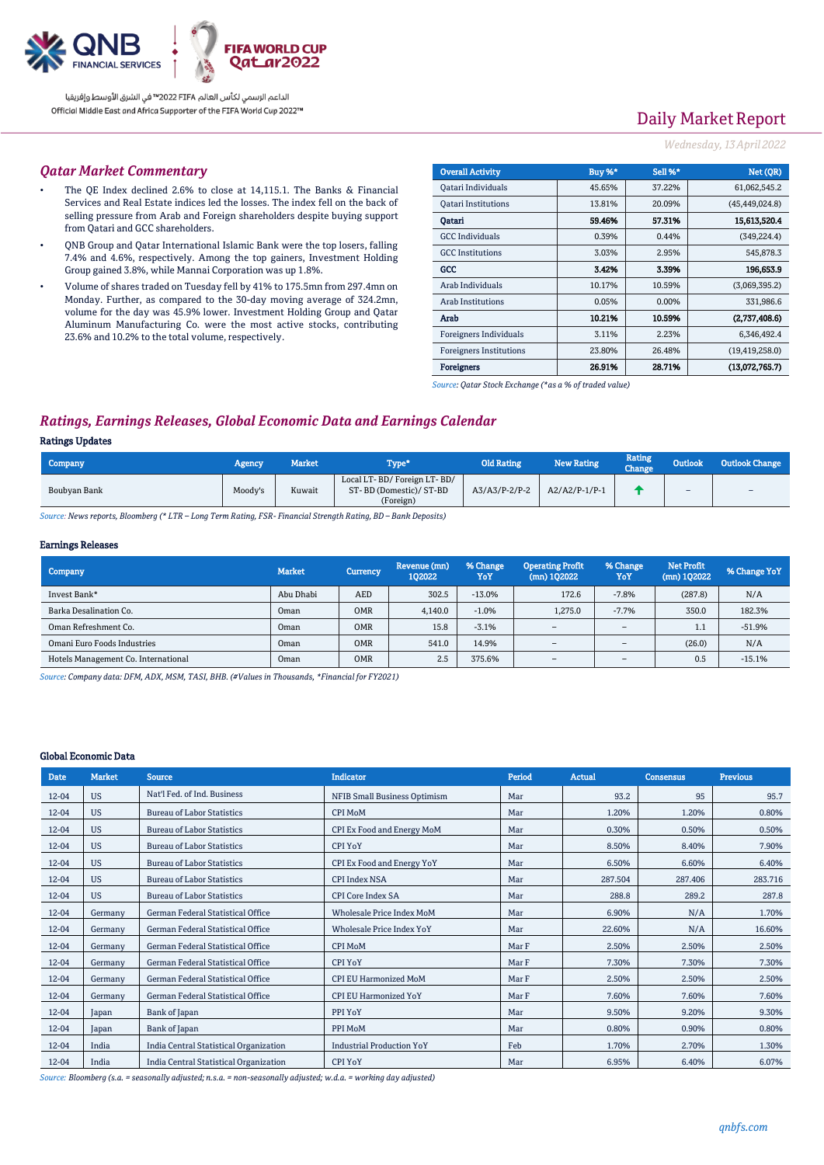

# Daily Market Report

#### *Wednesday, 13April2022*

#### *Qatar Market Commentary*

- The QE Index declined 2.6% to close at 14,115.1. The Banks & Financial Services and Real Estate indices led the losses. The index fell on the back of selling pressure from Arab and Foreign shareholders despite buying support from Qatari and GCC shareholders.
- QNB Group and Qatar International Islamic Bank were the top losers, falling 7.4% and 4.6%, respectively. Among the top gainers, Investment Holding Group gained 3.8%, while Mannai Corporation was up 1.8%.
- Volume of shares traded on Tuesday fell by 41% to 175.5mn from 297.4mn on Monday. Further, as compared to the 30-day moving average of 324.2mn, volume for the day was 45.9% lower. Investment Holding Group and Qatar Aluminum Manufacturing Co. were the most active stocks, contributing 23.6% and 10.2% to the total volume, respectively.

| <b>Overall Activity</b>        | Buy %* | Sell %* | Net (QR)         |
|--------------------------------|--------|---------|------------------|
| Qatari Individuals             | 45.65% | 37.22%  | 61,062,545.2     |
| <b>Oatari Institutions</b>     | 13.81% | 20.09%  | (45, 449, 024.8) |
| Oatari                         | 59.46% | 57.31%  | 15,613,520.4     |
| <b>GCC</b> Individuals         | 0.39%  | 0.44%   | (349, 224.4)     |
| <b>GCC</b> Institutions        | 3.03%  | 2.95%   | 545,878.3        |
| GCC                            | 3.42%  | 3.39%   | 196,653.9        |
| Arab Individuals               | 10.17% | 10.59%  | (3,069,395.2)    |
| Arab Institutions              | 0.05%  | 0.00%   | 331,986.6        |
| Arab                           | 10.21% | 10.59%  | (2,737,408.6)    |
| Foreigners Individuals         | 3.11%  | 2.23%   | 6,346,492.4      |
| <b>Foreigners Institutions</b> | 23.80% | 26.48%  | (19, 419, 258.0) |
| <b>Foreigners</b>              | 26.91% | 28.71%  | (13,072,765.7)   |

*Source: Qatar Stock Exchange (\*as a % of traded value)*

## *Ratings, Earnings Releases, Global Economic Data and Earnings Calendar*

#### Ratings Updates

| Company      | Agency  | Market | l'ype*                                                             | <b>Old Rating</b> | New Rating      | <b>Rating</b><br>Change | <b>Outlook</b> | <b>Outlook Change</b> |
|--------------|---------|--------|--------------------------------------------------------------------|-------------------|-----------------|-------------------------|----------------|-----------------------|
| Boubyan Bank | Moody's | Kuwait | Local LT-BD/Foreign LT-BD/<br>ST-BD (Domestic)/ ST-BD<br>(Foreign) | $A3/A3/P-2/P-2$   | $A2/A2/P-1/P-1$ |                         | $\sim$         | $\sim$                |

*Source: News reports, Bloomberg (\* LTR – Long Term Rating, FSR- Financial Strength Rating, BD – Bank Deposits)*

#### Earnings Releases

| <b>Company</b>                      | <b>Market</b> | <b>Currency</b> | Revenue (mn)<br>102022 | % Change<br>YoY | <b>Operating Profit</b><br>$(mn)$ 102022 | % Change<br>YoY          | <b>Net Profit</b><br>$(mn)$ 102022 | % Change YoY |
|-------------------------------------|---------------|-----------------|------------------------|-----------------|------------------------------------------|--------------------------|------------------------------------|--------------|
| Invest Bank*                        | Abu Dhabi     | AED             | 302.5                  | $-13.0%$        | 172.6                                    | $-7.8%$                  | (287.8)                            | N/A          |
| Barka Desalination Co.              | Oman          | <b>OMR</b>      | 4.140.0                | $-1.0%$         | 1.275.0                                  | $-7.7%$                  | 350.0                              | 182.3%       |
| Oman Refreshment Co.                | Oman          | <b>OMR</b>      | 15.8                   | $-3.1%$         | $\overline{\phantom{a}}$                 | $\overline{\phantom{a}}$ | 1.1                                | $-51.9%$     |
| Omani Euro Foods Industries         | Oman          | <b>OMR</b>      | 541.0                  | 14.9%           | $\overline{\phantom{a}}$                 | $\overline{\phantom{a}}$ | (26.0)                             | N/A          |
| Hotels Management Co. International | Oman          | <b>OMR</b>      | 2.5                    | 375.6%          | $\overline{\phantom{a}}$                 | $\overline{\phantom{a}}$ | 0.5                                | $-15.1%$     |

*Source: Company data: DFM, ADX, MSM, TASI, BHB. (#Values in Thousands, \*Financial for FY2021)*

#### Global Economic Data

| <b>Date</b> | <b>Market</b> | <b>Source</b>                          | <b>Indicator</b>                    | Period | <b>Actual</b> | <b>Consensus</b> | <b>Previous</b> |
|-------------|---------------|----------------------------------------|-------------------------------------|--------|---------------|------------------|-----------------|
| 12-04       | <b>US</b>     | Nat'l Fed. of Ind. Business            | <b>NFIB Small Business Optimism</b> | Mar    | 93.2          | 95               | 95.7            |
| 12-04       | <b>US</b>     | <b>Bureau of Labor Statistics</b>      | <b>CPI MoM</b>                      | Mar    | 1.20%         | 1.20%            | 0.80%           |
| 12-04       | <b>US</b>     | <b>Bureau of Labor Statistics</b>      | CPI Ex Food and Energy MoM          | Mar    | 0.30%         | 0.50%            | 0.50%           |
| 12-04       | <b>US</b>     | <b>Bureau of Labor Statistics</b>      | <b>CPI YoY</b>                      | Mar    | 8.50%         | 8.40%            | 7.90%           |
| 12-04       | <b>US</b>     | <b>Bureau of Labor Statistics</b>      | CPI Ex Food and Energy YoY          | Mar    | 6.50%         | 6.60%            | 6.40%           |
| 12-04       | <b>US</b>     | <b>Bureau of Labor Statistics</b>      | <b>CPI Index NSA</b>                | Mar    | 287.504       | 287.406          | 283.716         |
| 12-04       | <b>US</b>     | <b>Bureau of Labor Statistics</b>      | <b>CPI Core Index SA</b>            | Mar    | 288.8         | 289.2            | 287.8           |
| 12-04       | Germany       | German Federal Statistical Office      | <b>Wholesale Price Index MoM</b>    | Mar    | 6.90%         | N/A              | 1.70%           |
| 12-04       | Germany       | German Federal Statistical Office      | <b>Wholesale Price Index YoY</b>    | Mar    | 22.60%        | N/A              | 16.60%          |
| 12-04       | Germany       | German Federal Statistical Office      | <b>CPI MoM</b>                      | Mar F  | 2.50%         | 2.50%            | 2.50%           |
| 12-04       | Germany       | German Federal Statistical Office      | <b>CPI YoY</b>                      | Mar F  | 7.30%         | 7.30%            | 7.30%           |
| 12-04       | Germany       | German Federal Statistical Office      | <b>CPI EU Harmonized MoM</b>        | Mar F  | 2.50%         | 2.50%            | 2.50%           |
| $12 - 04$   | Germany       | German Federal Statistical Office      | <b>CPI EU Harmonized YoY</b>        | Mar F  | 7.60%         | 7.60%            | 7.60%           |
| $12 - 04$   | Japan         | Bank of Japan                          | PPI YoY                             | Mar    | 9.50%         | 9.20%            | 9.30%           |
| 12-04       | Japan         | Bank of Japan                          | PPI MoM                             | Mar    | 0.80%         | 0.90%            | 0.80%           |
| $12 - 04$   | India         | India Central Statistical Organization | <b>Industrial Production YoY</b>    | Feb    | 1.70%         | 2.70%            | 1.30%           |
| 12-04       | India         | India Central Statistical Organization | <b>CPI YoY</b>                      | Mar    | 6.95%         | 6.40%            | 6.07%           |

*Source: Bloomberg (s.a. = seasonally adjusted; n.s.a. = non-seasonally adjusted; w.d.a. = working day adjusted)*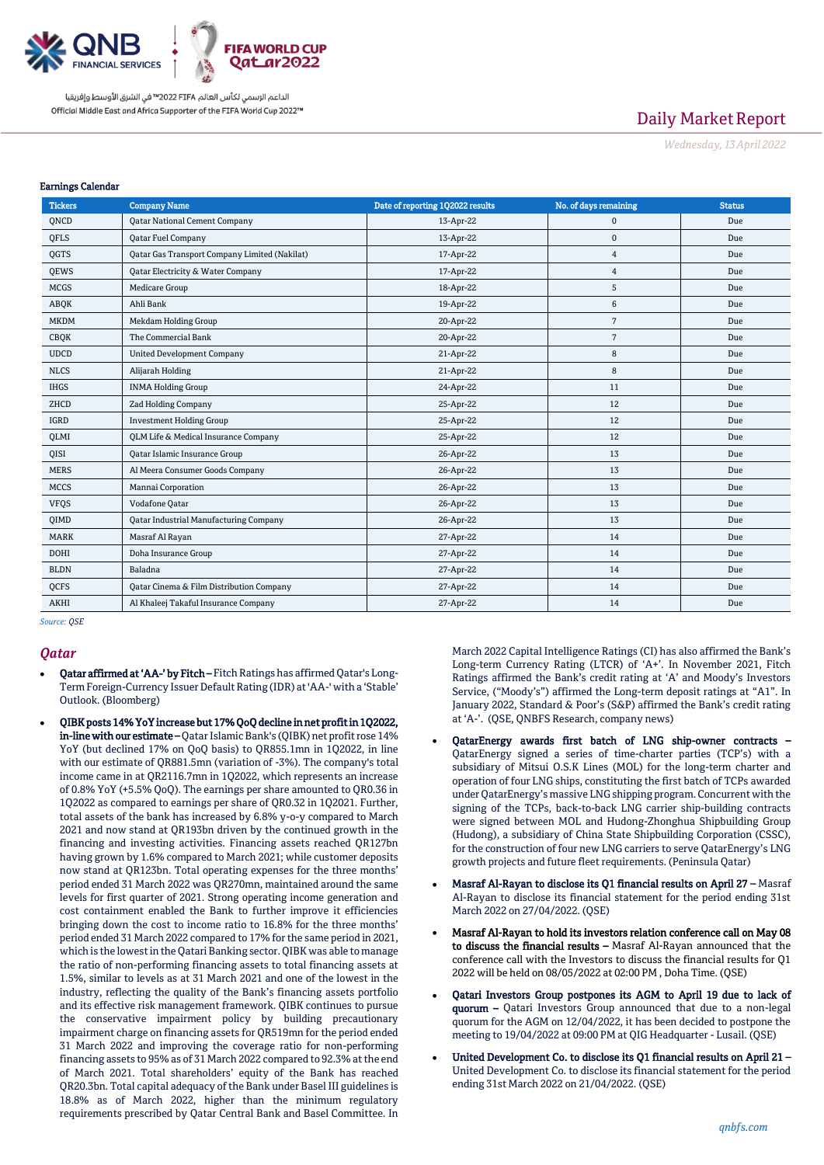

# Daily Market Report

*Wednesday, 13April2022*

#### Earnings Calendar

| <b>Tickers</b> | <b>Company Name</b>                                 | Date of reporting 1Q2022 results | No. of days remaining | <b>Status</b> |
|----------------|-----------------------------------------------------|----------------------------------|-----------------------|---------------|
| QNCD           | <b>Qatar National Cement Company</b>                | 13-Apr-22                        | $\mathbf 0$           | Due           |
| QFLS           | <b>Qatar Fuel Company</b>                           | 13-Apr-22                        | $\mathbf{0}$          | Due           |
| QGTS           | Qatar Gas Transport Company Limited (Nakilat)       | 17-Apr-22                        | $\overline{4}$        | Due           |
| <b>OEWS</b>    | <b>Qatar Electricity &amp; Water Company</b>        | 17-Apr-22                        | $\overline{4}$        | Due           |
| <b>MCGS</b>    | <b>Medicare Group</b>                               | 18-Apr-22                        | 5                     | Due           |
| ABOK           | Ahli Bank                                           | 19-Apr-22                        | 6                     | Due           |
| <b>MKDM</b>    | Mekdam Holding Group                                | 20-Apr-22                        | $7\phantom{.0}$       | Due           |
| <b>CBQK</b>    | The Commercial Bank                                 | 20-Apr-22                        | $7\phantom{.0}$       | Due           |
| <b>UDCD</b>    | <b>United Development Company</b>                   | 21-Apr-22                        | 8                     | Due           |
| <b>NLCS</b>    | Alijarah Holding                                    | 21-Apr-22                        | 8                     | Due           |
| <b>IHGS</b>    | <b>INMA Holding Group</b>                           | 24-Apr-22                        | 11                    | Due           |
| ZHCD           | Zad Holding Company                                 | 25-Apr-22                        | 12                    | Due           |
| IGRD           | <b>Investment Holding Group</b>                     | 25-Apr-22                        | 12                    | Due           |
| <b>OLMI</b>    | <b>QLM Life &amp; Medical Insurance Company</b>     | 25-Apr-22                        | 12                    | Due           |
| QISI           | <b>Qatar Islamic Insurance Group</b>                | 26-Apr-22                        | 13                    | Due           |
| <b>MERS</b>    | Al Meera Consumer Goods Company                     | 26-Apr-22                        | 13                    | Due           |
| <b>MCCS</b>    | Mannai Corporation                                  | 26-Apr-22                        | 13                    | Due           |
| <b>VFQS</b>    | Vodafone Qatar                                      | 26-Apr-22                        | 13                    | Due           |
| QIMD           | Qatar Industrial Manufacturing Company              | 26-Apr-22                        | 13                    | Due           |
| <b>MARK</b>    | Masraf Al Rayan                                     | 27-Apr-22                        | 14                    | Due           |
| <b>DOHI</b>    | Doha Insurance Group                                | 27-Apr-22                        | 14                    | Due           |
| <b>BLDN</b>    | Baladna                                             | 27-Apr-22                        | 14                    | Due           |
| QCFS           | <b>Qatar Cinema &amp; Film Distribution Company</b> | 27-Apr-22                        | 14                    | Due           |
| <b>AKHI</b>    | Al Khaleej Takaful Insurance Company                | 27-Apr-22                        | 14                    | Due           |

*Source: QSE*

#### *Qatar*

- Qatar affirmed at 'AA-' by Fitch Fitch Ratings has affirmed Qatar's Long-Term Foreign-Currency Issuer Default Rating (IDR) at 'AA-' with a 'Stable' Outlook. (Bloomberg)
- QIBK posts 14% YoY increase but 17% QoQ decline in net profit in 1Q2022, in-line with our estimate – Qatar Islamic Bank's (QIBK) net profit rose 14% YoY (but declined 17% on QoQ basis) to QR855.1mn in 1Q2022, in line with our estimate of QR881.5mn (variation of -3%). The company's total income came in at QR2116.7mn in 1Q2022, which represents an increase of 0.8% YoY (+5.5% QoQ). The earnings per share amounted to QR0.36 in 1Q2022 as compared to earnings per share of QR0.32 in 1Q2021. Further, total assets of the bank has increased by 6.8% y-o-y compared to March 2021 and now stand at QR193bn driven by the continued growth in the financing and investing activities. Financing assets reached QR127bn having grown by 1.6% compared to March 2021; while customer deposits now stand at QR123bn. Total operating expenses for the three months' period ended 31 March 2022 was QR270mn, maintained around the same levels for first quarter of 2021. Strong operating income generation and cost containment enabled the Bank to further improve it efficiencies bringing down the cost to income ratio to 16.8% for the three months' period ended 31 March 2022 compared to 17% for the same period in 2021, which is the lowest in the Qatari Banking sector. QIBK was able to manage the ratio of non-performing financing assets to total financing assets at 1.5%, similar to levels as at 31 March 2021 and one of the lowest in the industry, reflecting the quality of the Bank's financing assets portfolio and its effective risk management framework. QIBK continues to pursue the conservative impairment policy by building precautionary impairment charge on financing assets for QR519mn for the period ended 31 March 2022 and improving the coverage ratio for non-performing financing assets to 95% as of 31 March 2022 compared to 92.3% at the end of March 2021. Total shareholders' equity of the Bank has reached QR20.3bn. Total capital adequacy of the Bank under Basel III guidelines is 18.8% as of March 2022, higher than the minimum regulatory requirements prescribed by Qatar Central Bank and Basel Committee. In

March 2022 Capital Intelligence Ratings (CI) has also affirmed the Bank's Long-term Currency Rating (LTCR) of 'A+'. In November 2021, Fitch Ratings affirmed the Bank's credit rating at 'A' and Moody's Investors Service, ("Moody's") affirmed the Long-term deposit ratings at "A1". In January 2022, Standard & Poor's (S&P) affirmed the Bank's credit rating at 'A-'. (QSE, QNBFS Research, company news)

- QatarEnergy awards first batch of LNG ship-owner contracts QatarEnergy signed a series of time-charter parties (TCP's) with a subsidiary of Mitsui O.S.K Lines (MOL) for the long-term charter and operation of four LNG ships, constituting the first batch of TCPs awarded under QatarEnergy's massive LNG shipping program. Concurrent with the signing of the TCPs, back-to-back LNG carrier ship-building contracts were signed between MOL and Hudong-Zhonghua Shipbuilding Group (Hudong), a subsidiary of China State Shipbuilding Corporation (CSSC), for the construction of four new LNG carriers to serve QatarEnergy's LNG growth projects and future fleet requirements. (Peninsula Qatar)
- Masraf Al-Rayan to disclose its Q1 financial results on April 27 Masraf Al-Rayan to disclose its financial statement for the period ending 31st March 2022 on 27/04/2022. (QSE)
- Masraf Al-Rayan to hold its investors relation conference call on May 08 to discuss the financial results - Masraf Al-Rayan announced that the conference call with the Investors to discuss the financial results for Q1 2022 will be held on 08/05/2022 at 02:00 PM , Doha Time. (QSE)
- Qatari Investors Group postpones its AGM to April 19 due to lack of quorum – Qatari Investors Group announced that due to a non-legal quorum for the AGM on 12/04/2022, it has been decided to postpone the meeting to 19/04/2022 at 09:00 PM at QIG Headquarter - Lusail. (QSE)
- United Development Co. to disclose its Q1 financial results on April 21 United Development Co. to disclose its financial statement for the period ending 31st March 2022 on 21/04/2022. (QSE)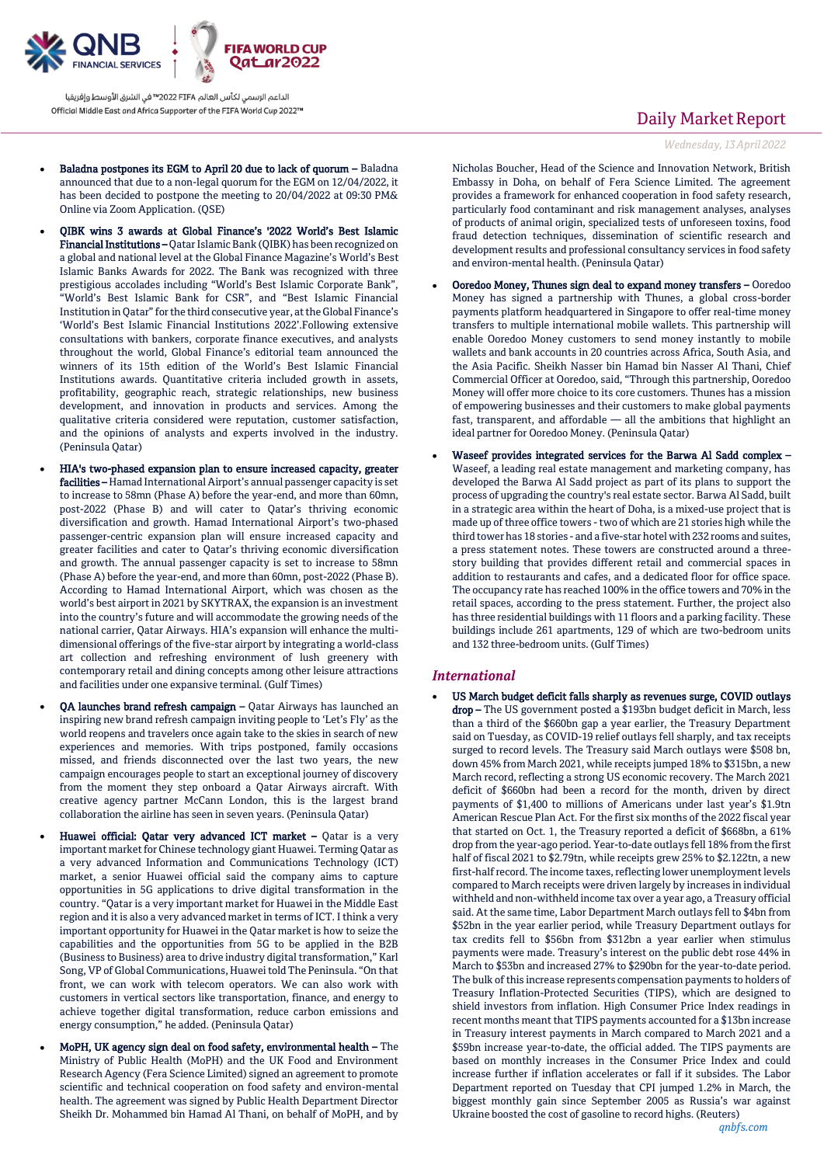

- Baladna postpones its EGM to April 20 due to lack of quorum Baladna announced that due to a non-legal quorum for the EGM on 12/04/2022, it has been decided to postpone the meeting to 20/04/2022 at 09:30 PM& Online via Zoom Application. (QSE)
- QIBK wins 3 awards at Global Finance's '2022 World's Best Islamic Financial Institutions – Qatar Islamic Bank (QIBK) has been recognized on a global and national level at the Global Finance Magazine's World's Best Islamic Banks Awards for 2022. The Bank was recognized with three prestigious accolades including "World's Best Islamic Corporate Bank", "World's Best Islamic Bank for CSR", and "Best Islamic Financial Institution in Qatar" for the third consecutive year, at the Global Finance's 'World's Best Islamic Financial Institutions 2022'.Following extensive consultations with bankers, corporate finance executives, and analysts throughout the world, Global Finance's editorial team announced the winners of its 15th edition of the World's Best Islamic Financial Institutions awards. Quantitative criteria included growth in assets, profitability, geographic reach, strategic relationships, new business development, and innovation in products and services. Among the qualitative criteria considered were reputation, customer satisfaction, and the opinions of analysts and experts involved in the industry. (Peninsula Qatar)
	- HIA's two-phased expansion plan to ensure increased capacity, greater facilities – Hamad International Airport's annual passenger capacity is set to increase to 58mn (Phase A) before the year-end, and more than 60mn, post-2022 (Phase B) and will cater to Qatar's thriving economic diversification and growth. Hamad International Airport's two-phased passenger-centric expansion plan will ensure increased capacity and greater facilities and cater to Qatar's thriving economic diversification and growth. The annual passenger capacity is set to increase to 58mn (Phase A) before the year-end, and more than 60mn, post-2022 (Phase B). According to Hamad International Airport, which was chosen as the world's best airport in 2021 by SKYTRAX, the expansion is an investment into the country's future and will accommodate the growing needs of the national carrier, Qatar Airways. HIA's expansion will enhance the multidimensional offerings of the five-star airport by integrating a world-class art collection and refreshing environment of lush greenery with contemporary retail and dining concepts among other leisure attractions and facilities under one expansive terminal. (Gulf Times)
- QA launches brand refresh campaign Qatar Airways has launched an inspiring new brand refresh campaign inviting people to 'Let's Fly' as the world reopens and travelers once again take to the skies in search of new experiences and memories. With trips postponed, family occasions missed, and friends disconnected over the last two years, the new campaign encourages people to start an exceptional journey of discovery from the moment they step onboard a Qatar Airways aircraft. With creative agency partner McCann London, this is the largest brand collaboration the airline has seen in seven years. (Peninsula Qatar)
- Huawei official: Qatar very advanced ICT market Qatar is a very important market for Chinese technology giant Huawei. Terming Qatar as a very advanced Information and Communications Technology (ICT) market, a senior Huawei official said the company aims to capture opportunities in 5G applications to drive digital transformation in the country. "Qatar is a very important market for Huawei in the Middle East region and it is also a very advanced market in terms of ICT. I think a very important opportunity for Huawei in the Qatar market is how to seize the capabilities and the opportunities from 5G to be applied in the B2B (Business to Business) area to drive industry digital transformation," Karl Song, VP of Global Communications, Huawei told The Peninsula. "On that front, we can work with telecom operators. We can also work with customers in vertical sectors like transportation, finance, and energy to achieve together digital transformation, reduce carbon emissions and energy consumption," he added. (Peninsula Qatar)
	- MoPH, UK agency sign deal on food safety, environmental health The Ministry of Public Health (MoPH) and the UK Food and Environment Research Agency (Fera Science Limited) signed an agreement to promote scientific and technical cooperation on food safety and environ-mental health. The agreement was signed by Public Health Department Director Sheikh Dr. Mohammed bin Hamad Al Thani, on behalf of MoPH, and by

# Daily Market Report

*Wednesday, 13April2022*

Nicholas Boucher, Head of the Science and Innovation Network, British Embassy in Doha, on behalf of Fera Science Limited. The agreement provides a framework for enhanced cooperation in food safety research, particularly food contaminant and risk management analyses, analyses of products of animal origin, specialized tests of unforeseen toxins, food fraud detection techniques, dissemination of scientific research and development results and professional consultancy services in food safety and environ-mental health. (Peninsula Qatar)

- Ooredoo Money, Thunes sign deal to expand money transfers Ooredoo Money has signed a partnership with Thunes, a global cross-border payments platform headquartered in Singapore to offer real-time money transfers to multiple international mobile wallets. This partnership will enable Ooredoo Money customers to send money instantly to mobile wallets and bank accounts in 20 countries across Africa, South Asia, and the Asia Pacific. Sheikh Nasser bin Hamad bin Nasser Al Thani, Chief Commercial Officer at Ooredoo, said, "Through this partnership, Ooredoo Money will offer more choice to its core customers. Thunes has a mission of empowering businesses and their customers to make global payments fast, transparent, and affordable — all the ambitions that highlight an ideal partner for Ooredoo Money. (Peninsula Qatar)
- Waseef provides integrated services for the Barwa Al Sadd complex Waseef, a leading real estate management and marketing company, has developed the Barwa Al Sadd project as part of its plans to support the process of upgrading the country's real estate sector. Barwa Al Sadd, built in a strategic area within the heart of Doha, is a mixed-use project that is made up of three office towers -two of which are 21 stories high while the third tower has 18 stories - and a five-star hotel with 232 rooms and suites, a press statement notes. These towers are constructed around a threestory building that provides different retail and commercial spaces in addition to restaurants and cafes, and a dedicated floor for office space. The occupancy rate has reached 100% in the office towers and 70% in the retail spaces, according to the press statement. Further, the project also has three residential buildings with 11 floors and a parking facility. These buildings include 261 apartments, 129 of which are two-bedroom units and 132 three-bedroom units. (Gulf Times)

#### *International*

 US March budget deficit falls sharply as revenues surge, COVID outlays drop - The US government posted a \$193bn budget deficit in March, less than a third of the \$660bn gap a year earlier, the Treasury Department said on Tuesday, as COVID-19 relief outlays fell sharply, and tax receipts surged to record levels. The Treasury said March outlays were \$508 bn, down 45% from March 2021, while receipts jumped 18% to \$315bn, a new March record, reflecting a strong US economic recovery. The March 2021 deficit of \$660bn had been a record for the month, driven by direct payments of \$1,400 to millions of Americans under last year's \$1.9tn American Rescue Plan Act. For the first six months of the 2022 fiscal year that started on Oct. 1, the Treasury reported a deficit of \$668bn, a 61% drop from the year-ago period. Year-to-date outlays fell 18% from the first half of fiscal 2021 to \$2.79tn, while receipts grew 25% to \$2.122tn, a new first-half record. The income taxes, reflecting lower unemployment levels compared to March receipts were driven largely by increases in individual withheld and non-withheld income tax over a year ago, a Treasury official said. At the same time, Labor Department March outlays fell to \$4bn from \$52bn in the year earlier period, while Treasury Department outlays for tax credits fell to \$56bn from \$312bn a year earlier when stimulus payments were made. Treasury's interest on the public debt rose 44% in March to \$53bn and increased 27% to \$290bn for the year-to-date period. The bulk of this increase represents compensation payments to holders of Treasury Inflation-Protected Securities (TIPS), which are designed to shield investors from inflation. High Consumer Price Index readings in recent months meant that TIPS payments accounted for a \$13bn increase in Treasury interest payments in March compared to March 2021 and a \$59bn increase year-to-date, the official added. The TIPS payments are based on monthly increases in the Consumer Price Index and could increase further if inflation accelerates or fall if it subsides. The Labor Department reported on Tuesday that CPI jumped 1.2% in March, the biggest monthly gain since September 2005 as Russia's war against Ukraine boosted the cost of gasoline to record highs. (Reuters)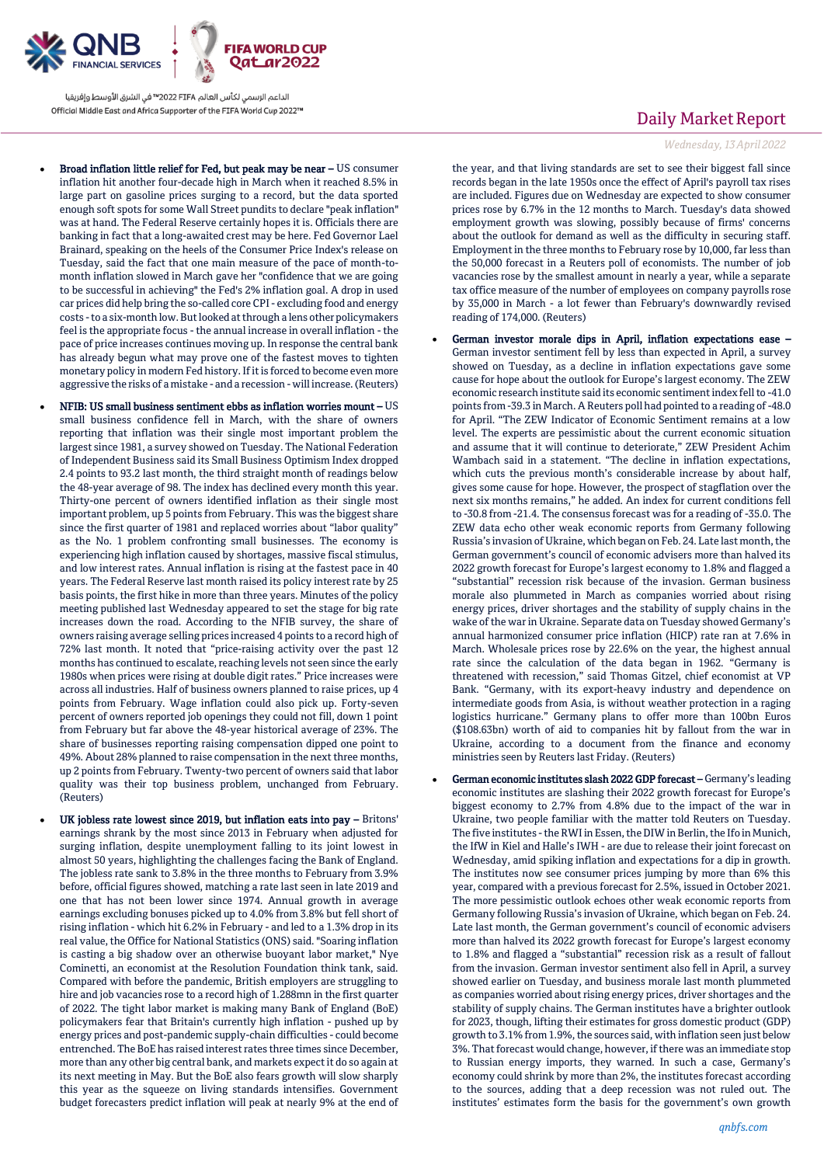

- Broad inflation little relief for Fed, but peak may be near US consumer inflation hit another four-decade high in March when it reached 8.5% in large part on gasoline prices surging to a record, but the data sported enough soft spots for some Wall Street pundits to declare "peak inflation" was at hand. The Federal Reserve certainly hopes it is. Officials there are banking in fact that a long-awaited crest may be here. Fed Governor Lael Brainard, speaking on the heels of the Consumer Price Index's release on Tuesday, said the fact that one main measure of the pace of month-tomonth inflation slowed in March gave her "confidence that we are going to be successful in achieving" the Fed's 2% inflation goal. A drop in used car prices did help bring the so-called core CPI - excluding food and energy costs -to a six-month low. But looked at through a lens other policymakers feel is the appropriate focus - the annual increase in overall inflation - the pace of price increases continues moving up. In response the central bank has already begun what may prove one of the fastest moves to tighten monetary policy in modern Fed history. If it is forced to become even more aggressive the risks of a mistake - and a recession - will increase. (Reuters)
- NFIB: US small business sentiment ebbs as inflation worries mount US small business confidence fell in March, with the share of owners reporting that inflation was their single most important problem the largest since 1981, a survey showed on Tuesday. The National Federation of Independent Business said its Small Business Optimism Index dropped 2.4 points to 93.2 last month, the third straight month of readings below the 48-year average of 98. The index has declined every month this year. Thirty-one percent of owners identified inflation as their single most important problem, up 5 points from February. This was the biggest share since the first quarter of 1981 and replaced worries about "labor quality" as the No. 1 problem confronting small businesses. The economy is experiencing high inflation caused by shortages, massive fiscal stimulus, and low interest rates. Annual inflation is rising at the fastest pace in 40 years. The Federal Reserve last month raised its policy interest rate by 25 basis points, the first hike in more than three years. Minutes of the policy meeting published last Wednesday appeared to set the stage for big rate increases down the road. According to the NFIB survey, the share of owners raising average selling prices increased 4 points to a record high of 72% last month. It noted that "price-raising activity over the past 12 months has continued to escalate, reaching levels not seen since the early 1980s when prices were rising at double digit rates." Price increases were across all industries. Half of business owners planned to raise prices, up 4 points from February. Wage inflation could also pick up. Forty-seven percent of owners reported job openings they could not fill, down 1 point from February but far above the 48-year historical average of 23%. The share of businesses reporting raising compensation dipped one point to 49%. About 28% planned to raise compensation in the next three months, up 2 points from February. Twenty-two percent of owners said that labor quality was their top business problem, unchanged from February. (Reuters)
- UK jobless rate lowest since 2019, but inflation eats into pay Britons' earnings shrank by the most since 2013 in February when adjusted for surging inflation, despite unemployment falling to its joint lowest in almost 50 years, highlighting the challenges facing the Bank of England. The jobless rate sank to 3.8% in the three months to February from 3.9% before, official figures showed, matching a rate last seen in late 2019 and one that has not been lower since 1974. Annual growth in average earnings excluding bonuses picked up to 4.0% from 3.8% but fell short of rising inflation - which hit 6.2% in February - and led to a 1.3% drop in its real value, the Office for National Statistics (ONS) said. "Soaring inflation is casting a big shadow over an otherwise buoyant labor market," Nye Cominetti, an economist at the Resolution Foundation think tank, said. Compared with before the pandemic, British employers are struggling to hire and job vacancies rose to a record high of 1.288mn in the first quarter of 2022. The tight labor market is making many Bank of England (BoE) policymakers fear that Britain's currently high inflation - pushed up by energy prices and post-pandemic supply-chain difficulties - could become entrenched. The BoE has raised interest rates three times since December, more than any other big central bank, and markets expect it do so again at its next meeting in May. But the BoE also fears growth will slow sharply this year as the squeeze on living standards intensifies. Government budget forecasters predict inflation will peak at nearly 9% at the end of

## Daily Market Report

#### *Wednesday, 13April2022*

the year, and that living standards are set to see their biggest fall since records began in the late 1950s once the effect of April's payroll tax rises are included. Figures due on Wednesday are expected to show consumer prices rose by 6.7% in the 12 months to March. Tuesday's data showed employment growth was slowing, possibly because of firms' concerns about the outlook for demand as well as the difficulty in securing staff. Employment in the three months to February rose by 10,000, far less than the 50,000 forecast in a Reuters poll of economists. The number of job vacancies rose by the smallest amount in nearly a year, while a separate tax office measure of the number of employees on company payrolls rose by 35,000 in March - a lot fewer than February's downwardly revised reading of 174,000. (Reuters)

- German investor morale dips in April, inflation expectations ease German investor sentiment fell by less than expected in April, a survey showed on Tuesday, as a decline in inflation expectations gave some cause for hope about the outlook for Europe's largest economy. The ZEW economic research institute said its economic sentiment index fell to -41.0 points from -39.3 in March. A Reuters poll had pointed to a reading of -48.0 for April. "The ZEW Indicator of Economic Sentiment remains at a low level. The experts are pessimistic about the current economic situation and assume that it will continue to deteriorate," ZEW President Achim Wambach said in a statement. "The decline in inflation expectations, which cuts the previous month's considerable increase by about half, gives some cause for hope. However, the prospect of stagflation over the next six months remains," he added. An index for current conditions fell to -30.8 from -21.4. The consensus forecast was for a reading of -35.0. The ZEW data echo other weak economic reports from Germany following Russia's invasion of Ukraine, which began on Feb. 24. Late last month, the German government's council of economic advisers more than halved its 2022 growth forecast for Europe's largest economy to 1.8% and flagged a "substantial" recession risk because of the invasion. German business morale also plummeted in March as companies worried about rising energy prices, driver shortages and the stability of supply chains in the wake of the war in Ukraine. Separate data on Tuesday showed Germany's annual harmonized consumer price inflation (HICP) rate ran at 7.6% in March. Wholesale prices rose by 22.6% on the year, the highest annual rate since the calculation of the data began in 1962. "Germany is threatened with recession," said Thomas Gitzel, chief economist at VP Bank. "Germany, with its export-heavy industry and dependence on intermediate goods from Asia, is without weather protection in a raging logistics hurricane." Germany plans to offer more than 100bn Euros (\$108.63bn) worth of aid to companies hit by fallout from the war in Ukraine, according to a document from the finance and economy ministries seen by Reuters last Friday. (Reuters)
- German economic institutes slash 2022 GDP forecast Germany's leading economic institutes are slashing their 2022 growth forecast for Europe's biggest economy to 2.7% from 4.8% due to the impact of the war in Ukraine, two people familiar with the matter told Reuters on Tuesday. The five institutes - the RWI in Essen, the DIW in Berlin, the Ifo in Munich, the IfW in Kiel and Halle's IWH - are due to release their joint forecast on Wednesday, amid spiking inflation and expectations for a dip in growth. The institutes now see consumer prices jumping by more than 6% this year, compared with a previous forecast for 2.5%, issued in October 2021. The more pessimistic outlook echoes other weak economic reports from Germany following Russia's invasion of Ukraine, which began on Feb. 24. Late last month, the German government's council of economic advisers more than halved its 2022 growth forecast for Europe's largest economy to 1.8% and flagged a "substantial" recession risk as a result of fallout from the invasion. German investor sentiment also fell in April, a survey showed earlier on Tuesday, and business morale last month plummeted as companies worried about rising energy prices, driver shortages and the stability of supply chains. The German institutes have a brighter outlook for 2023, though, lifting their estimates for gross domestic product (GDP) growth to 3.1% from 1.9%, the sources said, with inflation seen just below 3%. That forecast would change, however, if there was an immediate stop to Russian energy imports, they warned. In such a case, Germany's economy could shrink by more than 2%, the institutes forecast according to the sources, adding that a deep recession was not ruled out. The institutes' estimates form the basis for the government's own growth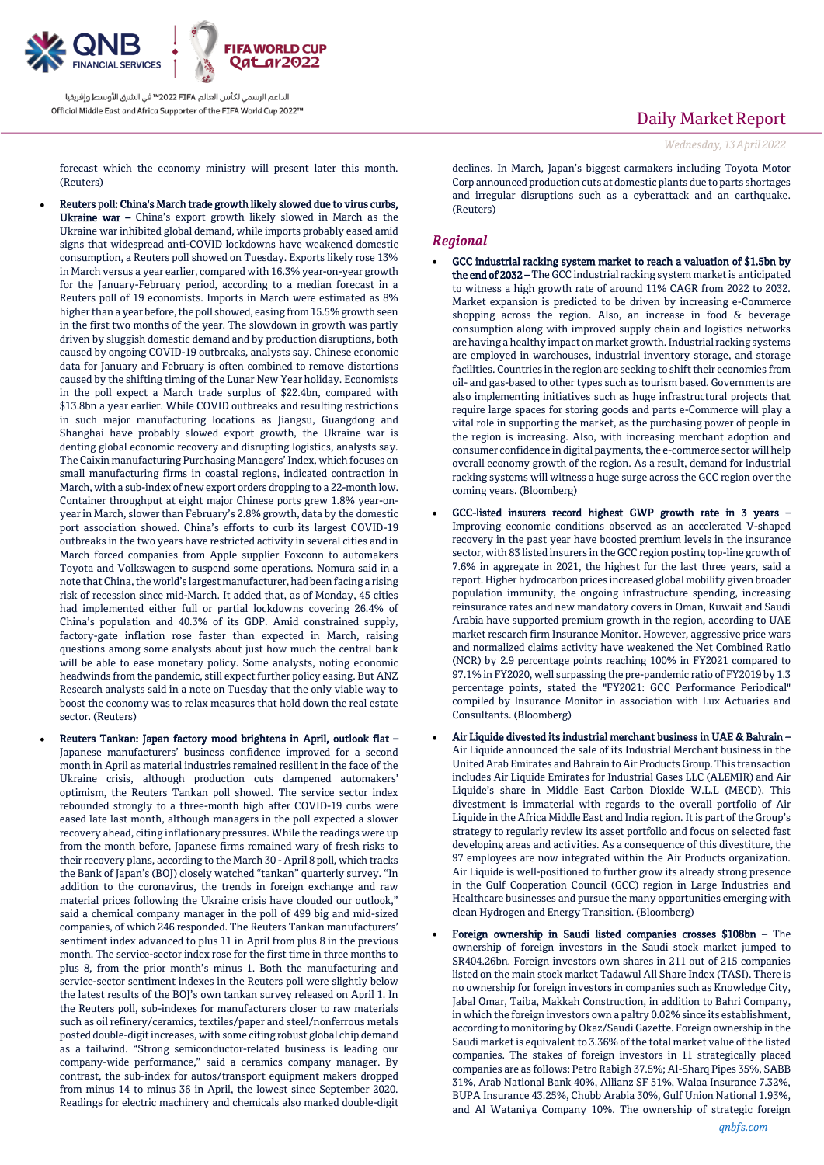

Daily Market Report

*Wednesday, 13April2022*

forecast which the economy ministry will present later this month. (Reuters)

- Reuters poll: China's March trade growth likely slowed due to virus curbs, Ukraine war – China's export growth likely slowed in March as the Ukraine war inhibited global demand, while imports probably eased amid signs that widespread anti-COVID lockdowns have weakened domestic consumption, a Reuters poll showed on Tuesday. Exports likely rose 13% in March versus a year earlier, compared with 16.3% year-on-year growth for the January-February period, according to a median forecast in a Reuters poll of 19 economists. Imports in March were estimated as 8% higher than a year before, the poll showed, easing from 15.5% growth seen in the first two months of the year. The slowdown in growth was partly driven by sluggish domestic demand and by production disruptions, both caused by ongoing COVID-19 outbreaks, analysts say. Chinese economic data for January and February is often combined to remove distortions caused by the shifting timing of the Lunar New Year holiday. Economists in the poll expect a March trade surplus of \$22.4bn, compared with \$13.8bn a year earlier. While COVID outbreaks and resulting restrictions in such major manufacturing locations as Jiangsu, Guangdong and Shanghai have probably slowed export growth, the Ukraine war is denting global economic recovery and disrupting logistics, analysts say. The Caixin manufacturing Purchasing Managers' Index, which focuses on small manufacturing firms in coastal regions, indicated contraction in March, with a sub-index of new export orders dropping to a 22-month low. Container throughput at eight major Chinese ports grew 1.8% year-onyear in March, slower than February's 2.8% growth, data by the domestic port association showed. China's efforts to curb its largest COVID-19 outbreaks in the two years have restricted activity in several cities and in March forced companies from Apple supplier Foxconn to automakers Toyota and Volkswagen to suspend some operations. Nomura said in a note that China, the world's largest manufacturer, had been facing a rising risk of recession since mid-March. It added that, as of Monday, 45 cities had implemented either full or partial lockdowns covering 26.4% of China's population and 40.3% of its GDP. Amid constrained supply, factory-gate inflation rose faster than expected in March, raising questions among some analysts about just how much the central bank will be able to ease monetary policy. Some analysts, noting economic headwinds from the pandemic, still expect further policy easing. But ANZ Research analysts said in a note on Tuesday that the only viable way to boost the economy was to relax measures that hold down the real estate sector. (Reuters)
- Reuters Tankan: Japan factory mood brightens in April, outlook flat Japanese manufacturers' business confidence improved for a second month in April as material industries remained resilient in the face of the Ukraine crisis, although production cuts dampened automakers' optimism, the Reuters Tankan poll showed. The service sector index rebounded strongly to a three-month high after COVID-19 curbs were eased late last month, although managers in the poll expected a slower recovery ahead, citing inflationary pressures. While the readings were up from the month before, Japanese firms remained wary of fresh risks to their recovery plans, according to the March 30 - April 8 poll, which tracks the Bank of Japan's (BOJ) closely watched "tankan" quarterly survey. "In addition to the coronavirus, the trends in foreign exchange and raw material prices following the Ukraine crisis have clouded our outlook," said a chemical company manager in the poll of 499 big and mid-sized companies, of which 246 responded. The Reuters Tankan manufacturers' sentiment index advanced to plus 11 in April from plus 8 in the previous month. The service-sector index rose for the first time in three months to plus 8, from the prior month's minus 1. Both the manufacturing and service-sector sentiment indexes in the Reuters poll were slightly below the latest results of the BOJ's own tankan survey released on April 1. In the Reuters poll, sub-indexes for manufacturers closer to raw materials such as oil refinery/ceramics, textiles/paper and steel/nonferrous metals posted double-digit increases, with some citing robust global chip demand as a tailwind. "Strong semiconductor-related business is leading our company-wide performance," said a ceramics company manager. By contrast, the sub-index for autos/transport equipment makers dropped from minus 14 to minus 36 in April, the lowest since September 2020. Readings for electric machinery and chemicals also marked double-digit

declines. In March, Japan's biggest carmakers including Toyota Motor Corp announced production cuts at domestic plants due to parts shortages and irregular disruptions such as a cyberattack and an earthquake. (Reuters)

## *Regional*

- GCC industrial racking system market to reach a valuation of \$1.5bn by the end of 2032 – The GCC industrial racking system market is anticipated to witness a high growth rate of around 11% CAGR from 2022 to 2032. Market expansion is predicted to be driven by increasing e-Commerce shopping across the region. Also, an increase in food & beverage consumption along with improved supply chain and logistics networks are having a healthy impact on market growth. Industrial racking systems are employed in warehouses, industrial inventory storage, and storage facilities. Countries in the region are seeking to shift their economies from oil- and gas-based to other types such as tourism based. Governments are also implementing initiatives such as huge infrastructural projects that require large spaces for storing goods and parts e-Commerce will play a vital role in supporting the market, as the purchasing power of people in the region is increasing. Also, with increasing merchant adoption and consumer confidence in digital payments, the e-commerce sector will help overall economy growth of the region. As a result, demand for industrial racking systems will witness a huge surge across the GCC region over the coming years. (Bloomberg)
- GCC-listed insurers record highest GWP growth rate in 3 years Improving economic conditions observed as an accelerated V-shaped recovery in the past year have boosted premium levels in the insurance sector, with 83 listed insurers in the GCC region posting top-line growth of 7.6% in aggregate in 2021, the highest for the last three years, said a report. Higher hydrocarbon prices increased global mobility given broader population immunity, the ongoing infrastructure spending, increasing reinsurance rates and new mandatory covers in Oman, Kuwait and Saudi Arabia have supported premium growth in the region, according to UAE market research firm Insurance Monitor. However, aggressive price wars and normalized claims activity have weakened the Net Combined Ratio (NCR) by 2.9 percentage points reaching 100% in FY2021 compared to 97.1% in FY2020, well surpassing the pre-pandemic ratio of FY2019 by 1.3 percentage points, stated the "FY2021: GCC Performance Periodical" compiled by Insurance Monitor in association with Lux Actuaries and Consultants. (Bloomberg)
- Air Liquide divested its industrial merchant business in UAE & Bahrain Air Liquide announced the sale of its Industrial Merchant business in the United Arab Emirates and Bahrain to Air Products Group. This transaction includes Air Liquide Emirates for Industrial Gases LLC (ALEMIR) and Air Liquide's share in Middle East Carbon Dioxide W.L.L (MECD). This divestment is immaterial with regards to the overall portfolio of Air Liquide in the Africa Middle East and India region. It is part of the Group's strategy to regularly review its asset portfolio and focus on selected fast developing areas and activities. As a consequence of this divestiture, the 97 employees are now integrated within the Air Products organization. Air Liquide is well-positioned to further grow its already strong presence in the Gulf Cooperation Council (GCC) region in Large Industries and Healthcare businesses and pursue the many opportunities emerging with clean Hydrogen and Energy Transition. (Bloomberg)
- Foreign ownership in Saudi listed companies crosses \$108bn The ownership of foreign investors in the Saudi stock market jumped to SR404.26bn. Foreign investors own shares in 211 out of 215 companies listed on the main stock market Tadawul All Share Index (TASI). There is no ownership for foreign investors in companies such as Knowledge City, Jabal Omar, Taiba, Makkah Construction, in addition to Bahri Company, in which the foreign investors own a paltry 0.02% since its establishment, according to monitoring by Okaz/Saudi Gazette. Foreign ownership in the Saudi market is equivalent to 3.36% of the total market value of the listed companies. The stakes of foreign investors in 11 strategically placed companies are as follows: Petro Rabigh 37.5%; Al-Sharq Pipes 35%, SABB 31%, Arab National Bank 40%, Allianz SF 51%, Walaa Insurance 7.32%, BUPA Insurance 43.25%, Chubb Arabia 30%, Gulf Union National 1.93%, and Al Wataniya Company 10%. The ownership of strategic foreign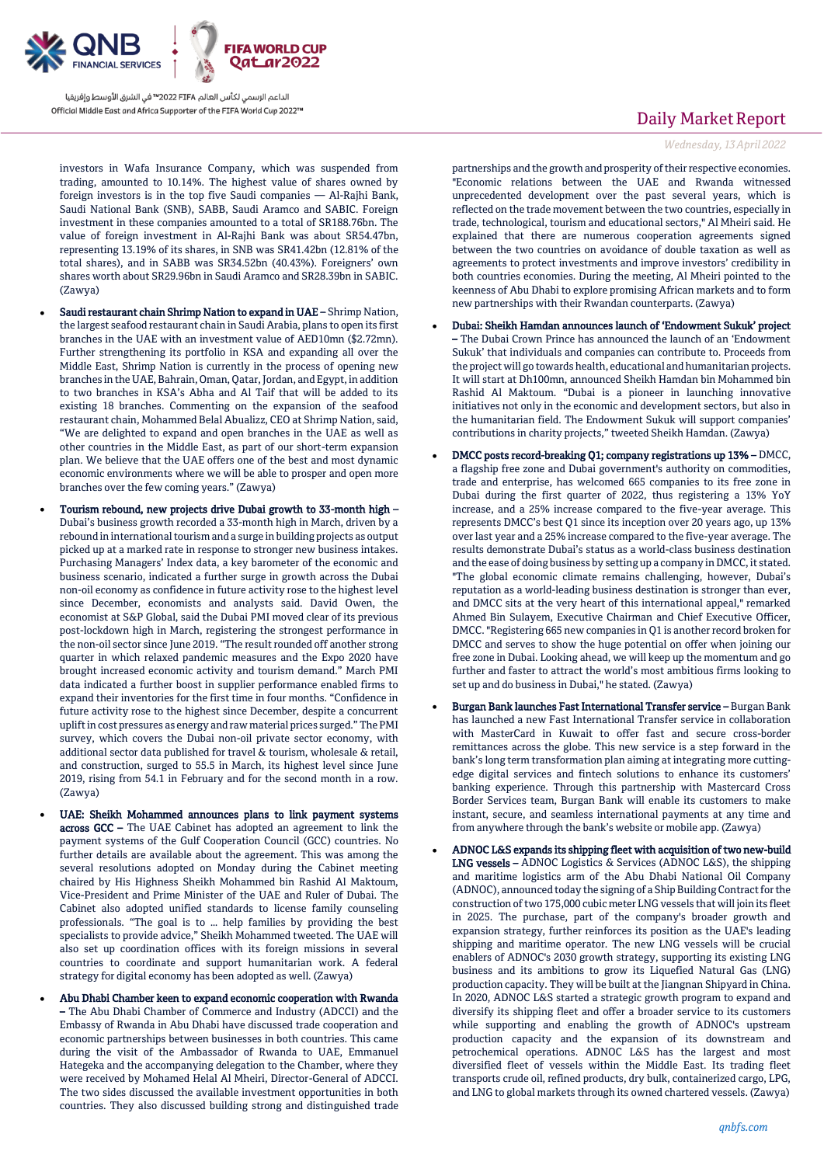

investors in Wafa Insurance Company, which was suspended from trading, amounted to 10.14%. The highest value of shares owned by foreign investors is in the top five Saudi companies — Al-Rajhi Bank, Saudi National Bank (SNB), SABB, Saudi Aramco and SABIC. Foreign investment in these companies amounted to a total of SR188.76bn. The value of foreign investment in Al-Rajhi Bank was about SR54.47bn, representing 13.19% of its shares, in SNB was SR41.42bn (12.81% of the total shares), and in SABB was SR34.52bn (40.43%). Foreigners' own shares worth about SR29.96bn in Saudi Aramco and SR28.39bn in SABIC. (Zawya)

- Saudi restaurant chain Shrimp Nation to expand in UAE Shrimp Nation, the largest seafood restaurant chain in Saudi Arabia, plans to open its first branches in the UAE with an investment value of AED10mn (\$2.72mn). Further strengthening its portfolio in KSA and expanding all over the Middle East, Shrimp Nation is currently in the process of opening new branches in the UAE, Bahrain, Oman, Qatar, Jordan, and Egypt, in addition to two branches in KSA's Abha and Al Taif that will be added to its existing 18 branches. Commenting on the expansion of the seafood restaurant chain, Mohammed Belal Abualizz, CEO at Shrimp Nation, said, "We are delighted to expand and open branches in the UAE as well as other countries in the Middle East, as part of our short-term expansion plan. We believe that the UAE offers one of the best and most dynamic economic environments where we will be able to prosper and open more branches over the few coming years." (Zawya)
- Tourism rebound, new projects drive Dubai growth to 33-month high Dubai's business growth recorded a 33-month high in March, driven by a rebound in international tourism and a surge in building projects as output picked up at a marked rate in response to stronger new business intakes. Purchasing Managers' Index data, a key barometer of the economic and business scenario, indicated a further surge in growth across the Dubai non-oil economy as confidence in future activity rose to the highest level since December, economists and analysts said. David Owen, the economist at S&P Global, said the Dubai PMI moved clear of its previous post-lockdown high in March, registering the strongest performance in the non-oil sector since June 2019. "The result rounded off another strong quarter in which relaxed pandemic measures and the Expo 2020 have brought increased economic activity and tourism demand." March PMI data indicated a further boost in supplier performance enabled firms to expand their inventories for the first time in four months. "Confidence in future activity rose to the highest since December, despite a concurrent uplift in cost pressures as energy and raw material prices surged." The PMI survey, which covers the Dubai non-oil private sector economy, with additional sector data published for travel & tourism, wholesale & retail, and construction, surged to 55.5 in March, its highest level since June 2019, rising from 54.1 in February and for the second month in a row. (Zawya)
	- UAE: Sheikh Mohammed announces plans to link payment systems across GCC – The UAE Cabinet has adopted an agreement to link the payment systems of the Gulf Cooperation Council (GCC) countries. No further details are available about the agreement. This was among the several resolutions adopted on Monday during the Cabinet meeting chaired by His Highness Sheikh Mohammed bin Rashid Al Maktoum, Vice-President and Prime Minister of the UAE and Ruler of Dubai. The Cabinet also adopted unified standards to license family counseling professionals. "The goal is to … help families by providing the best specialists to provide advice," Sheikh Mohammed tweeted. The UAE will also set up coordination offices with its foreign missions in several countries to coordinate and support humanitarian work. A federal strategy for digital economy has been adopted as well. (Zawya)
- Abu Dhabi Chamber keen to expand economic cooperation with Rwanda – The Abu Dhabi Chamber of Commerce and Industry (ADCCI) and the Embassy of Rwanda in Abu Dhabi have discussed trade cooperation and economic partnerships between businesses in both countries. This came during the visit of the Ambassador of Rwanda to UAE, Emmanuel Hategeka and the accompanying delegation to the Chamber, where they were received by Mohamed Helal Al Mheiri, Director-General of ADCCI. The two sides discussed the available investment opportunities in both countries. They also discussed building strong and distinguished trade

# Daily Market Report

#### *Wednesday, 13April2022*

partnerships and the growth and prosperity of their respective economies. "Economic relations between the UAE and Rwanda witnessed unprecedented development over the past several years, which is reflected on the trade movement between the two countries, especially in trade, technological, tourism and educational sectors," Al Mheiri said. He explained that there are numerous cooperation agreements signed between the two countries on avoidance of double taxation as well as agreements to protect investments and improve investors' credibility in both countries economies. During the meeting, Al Mheiri pointed to the keenness of Abu Dhabi to explore promising African markets and to form new partnerships with their Rwandan counterparts. (Zawya)

- Dubai: Sheikh Hamdan announces launch of 'Endowment Sukuk' project – The Dubai Crown Prince has announced the launch of an 'Endowment Sukuk' that individuals and companies can contribute to. Proceeds from the project will go towards health, educational and humanitarian projects. It will start at Dh100mn, announced Sheikh Hamdan bin Mohammed bin Rashid Al Maktoum. "Dubai is a pioneer in launching innovative initiatives not only in the economic and development sectors, but also in the humanitarian field. The Endowment Sukuk will support companies' contributions in charity projects," tweeted Sheikh Hamdan. (Zawya)
- DMCC posts record-breaking Q1; company registrations up 13% DMCC, a flagship free zone and Dubai government's authority on commodities, trade and enterprise, has welcomed 665 companies to its free zone in Dubai during the first quarter of 2022, thus registering a 13% YoY increase, and a 25% increase compared to the five-year average. This represents DMCC's best Q1 since its inception over 20 years ago, up 13% over last year and a 25% increase compared to the five-year average. The results demonstrate Dubai's status as a world-class business destination and the ease of doing business by setting up a company in DMCC, it stated. "The global economic climate remains challenging, however, Dubai's reputation as a world-leading business destination is stronger than ever, and DMCC sits at the very heart of this international appeal," remarked Ahmed Bin Sulayem, Executive Chairman and Chief Executive Officer, DMCC. "Registering 665 new companies in Q1 is another record broken for DMCC and serves to show the huge potential on offer when joining our free zone in Dubai. Looking ahead, we will keep up the momentum and go further and faster to attract the world's most ambitious firms looking to set up and do business in Dubai," he stated. (Zawya)
- Burgan Bank launches Fast International Transfer service Burgan Bank has launched a new Fast International Transfer service in collaboration with MasterCard in Kuwait to offer fast and secure cross-border remittances across the globe. This new service is a step forward in the bank's long term transformation plan aiming at integrating more cuttingedge digital services and fintech solutions to enhance its customers' banking experience. Through this partnership with Mastercard Cross Border Services team, Burgan Bank will enable its customers to make instant, secure, and seamless international payments at any time and from anywhere through the bank's website or mobile app. (Zawya)
- ADNOC L&S expands its shipping fleet with acquisition of two new-build LNG vessels – ADNOC Logistics & Services (ADNOC L&S), the shipping and maritime logistics arm of the Abu Dhabi National Oil Company (ADNOC), announced today the signing of a Ship Building Contract for the construction of two 175,000 cubic meter LNG vessels that will join its fleet in 2025. The purchase, part of the company's broader growth and expansion strategy, further reinforces its position as the UAE's leading shipping and maritime operator. The new LNG vessels will be crucial enablers of ADNOC's 2030 growth strategy, supporting its existing LNG business and its ambitions to grow its Liquefied Natural Gas (LNG) production capacity. They will be built at the Jiangnan Shipyard in China. In 2020, ADNOC L&S started a strategic growth program to expand and diversify its shipping fleet and offer a broader service to its customers while supporting and enabling the growth of ADNOC's upstream production capacity and the expansion of its downstream and petrochemical operations. ADNOC L&S has the largest and most diversified fleet of vessels within the Middle East. Its trading fleet transports crude oil, refined products, dry bulk, containerized cargo, LPG, and LNG to global markets through its owned chartered vessels. (Zawya)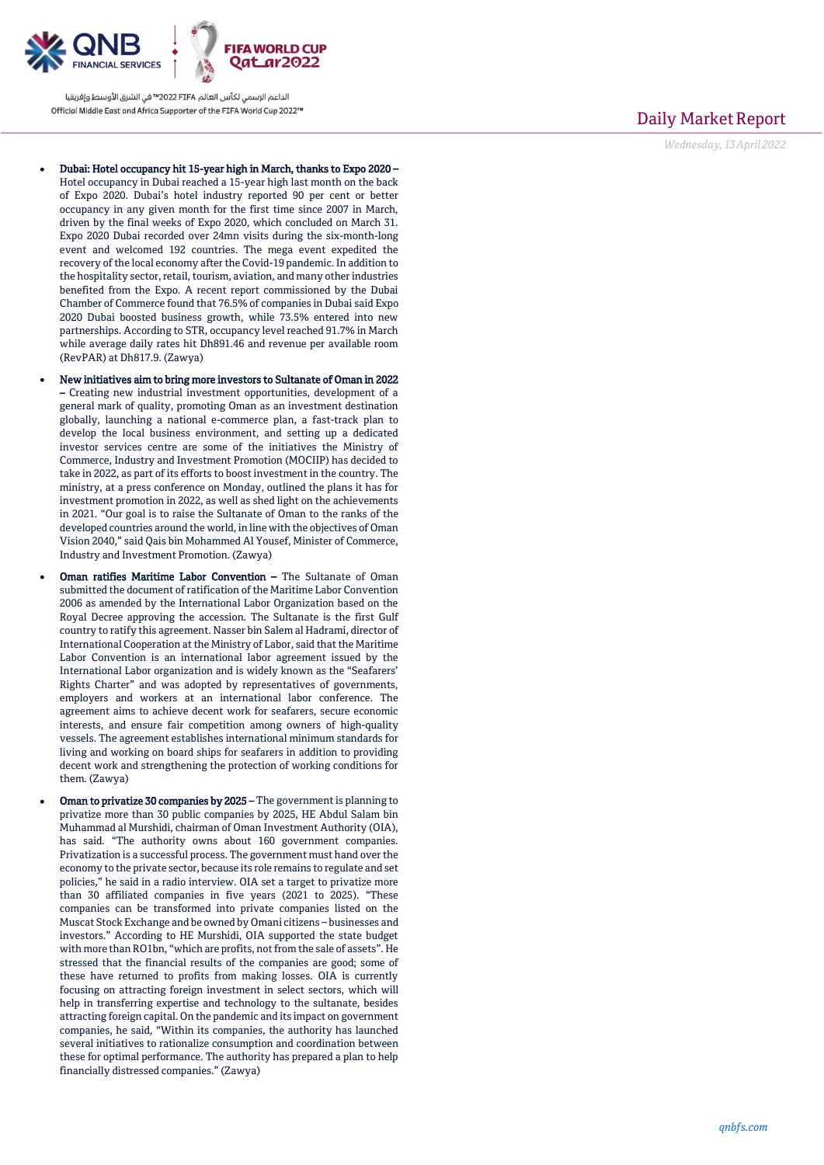

- Dubai: Hotel occupancy hit 15-year high in March, thanks to Expo 2020 -Hotel occupancy in Dubai reached a 15 -year high last month on the back of Expo 2020. Dubai's hotel industry reported 90 per cent or better occupancy in any given month for the first time since 2007 in March, driven by the final weeks of Expo 2020, which concluded on March 31. Expo 2020 Dubai recorded over 24mn visits during the six -month -long event and welcomed 192 countries. The mega event expedited the recovery of the local economy after the Covid -19 pandemic. In addition to the hospitality sector, retail, tourism, aviation, and many other industries benefited from the Expo. A recent report commissioned by the Dubai Chamber of Commerce found that 76.5% of companies in Dubai said Expo 2020 Dubai boosted business growth, while 73.5% entered into new partnerships. According to STR, occupancy level reached 91.7% in March while average daily rates hit Dh891.46 and revenue per available room (RevPAR) at Dh817.9. (Zawya)
- New initiatives aim to bring more investors to Sultanate of Oman in 2022 – Creating new industrial investment opportunities, development of a general mark of quality, promoting Oman as an investment destination globally, launching a national e -commerce plan, a fast -track plan to develop the local business environment, and setting up a dedicated investor services centre are some of the initiatives the Ministry of Commerce, Industry and Investment Promotion (MOCIIP) has decided to take in 2022, as part of its efforts to boost investment in the country. The ministry, at a press conference on Monday, outlined the plans it has for investment promotion in 2022, as well as shed light on the achievements in 2021. "Our goal is to raise the Sultanate of Oman to the ranks of the developed countries around the world, in line with the objectives of Oman Vision 2040," said Qais bin Mohammed Al Yousef, Minister of Commerce, Industry and Investment Promotion. (Zawya)
- Oman ratifies Maritime Labor Convention The Sultanate of Oman submitted the document of ratification of the Maritime Labor Convention 2006 as amended by the International Labor Organization based on the Royal Decree approving the accession. The Sultanate is the first Gulf country to ratify this agreement. Nasser bin Salem al Hadrami, director of International Cooperation at the Ministry of Labor, said that the Maritime Labor Convention is an international labor agreement issued by the International Labor organization and is widely known as the "Seafarers' Rights Charter" and was adopted by representatives of governments, employers and workers at an international labor conference. The agreement aims to achieve decent work for seafarers, secure economic interests, and ensure fair competition among owners of high -quality vessels. The agreement establishes international minimum standards for living and working on board ships for seafarers in addition to providing decent work and strengthening the protection of working conditions for them. (Zawya)
- Oman to privatize 30 companies by 2025 The government is planning to privatize more than 30 public companies by 2025, HE Abdul Salam bin Muhammad al Murshidi, chairman of Oman Investment Authority (OIA), has said. "The authority owns about 160 government companies. Privatization is a successful process. The government must hand over the economy to the private sector, because its role remains to regulate and set policies," he said in a radio interview. OIA set a target to privatize more than 30 affiliated companies in five years (2021 to 2025). "These companies can be transformed into private companies listed on the Muscat Stock Exchange and be owned by Omani citizens – businesses and investors." According to HE Murshidi, OIA supported the state budget with more than RO1bn, "which are profits, not from the sale of assets". He stressed that the financial results of the companies are good; some of these have returned to profits from making losses. OIA is currently focusing on attracting foreign investment in select sectors, which will help in transferring expertise and technology to the sultanate, besides attracting foreign capital. On the pandemic and its impact on government companies, he said, "Within its companies, the authority has launched several initiatives to rationalize consumption and coordination between these for optimal performance. The authority has prepared a plan to help financially distressed companies." (Zawya)

## Daily Market Report

*Wednesday, 13April2022*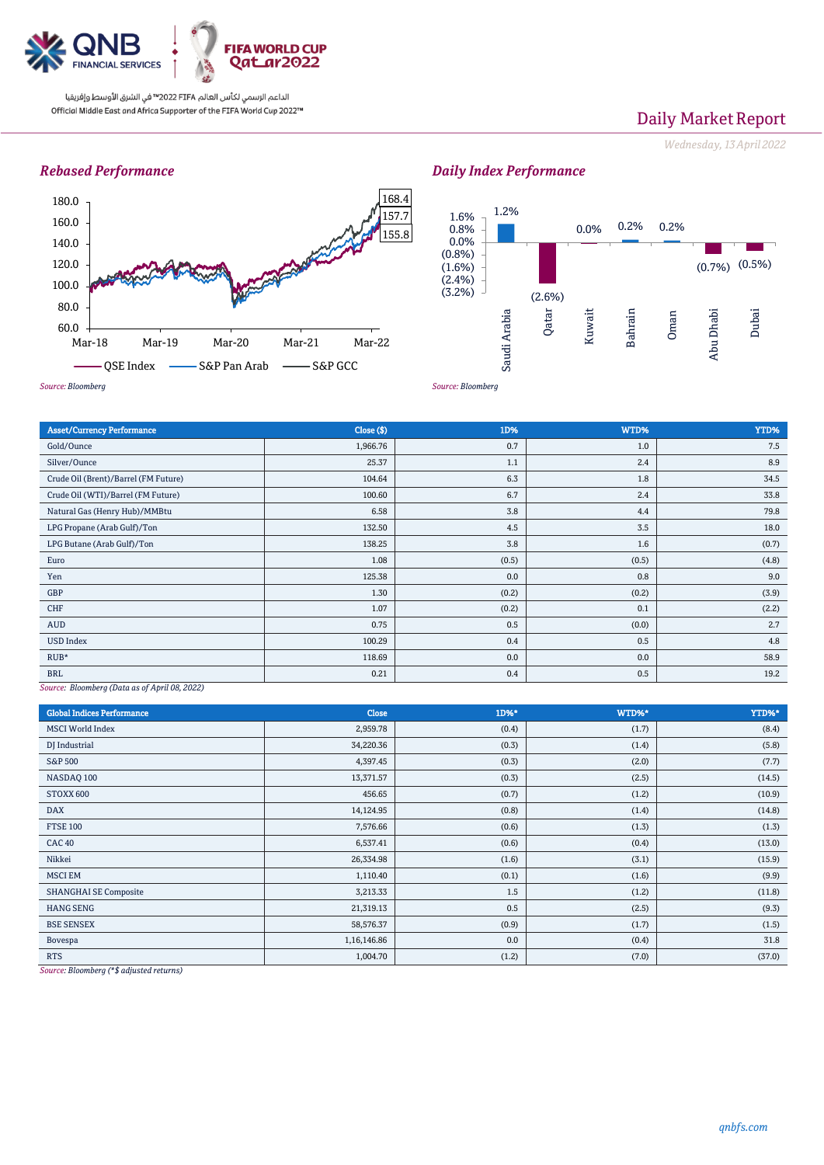

# Daily Market Report

*Wednesday, 13April2022*

## *Rebased Performance*







| <b>Asset/Currency Performance</b>    | Close ( \$) | 1D%   | WTD%  | YTD%  |
|--------------------------------------|-------------|-------|-------|-------|
| Gold/Ounce                           | 1,966.76    | 0.7   | 1.0   | 7.5   |
| Silver/Ounce                         | 25.37       | 1.1   | 2.4   | 8.9   |
| Crude Oil (Brent)/Barrel (FM Future) | 104.64      | 6.3   | 1.8   | 34.5  |
| Crude Oil (WTI)/Barrel (FM Future)   | 100.60      | 6.7   | 2.4   | 33.8  |
| Natural Gas (Henry Hub)/MMBtu        | 6.58        | 3.8   | 4.4   | 79.8  |
| LPG Propane (Arab Gulf)/Ton          | 132.50      | 4.5   | 3.5   | 18.0  |
| LPG Butane (Arab Gulf)/Ton           | 138.25      | 3.8   | 1.6   | (0.7) |
| Euro                                 | 1.08        | (0.5) | (0.5) | (4.8) |
| Yen                                  | 125.38      | 0.0   | 0.8   | 9.0   |
| GBP                                  | 1.30        | (0.2) | (0.2) | (3.9) |
| CHF                                  | 1.07        | (0.2) | 0.1   | (2.2) |
| <b>AUD</b>                           | 0.75        | 0.5   | (0.0) | 2.7   |
| <b>USD Index</b>                     | 100.29      | 0.4   | 0.5   | 4.8   |
| $RUB*$                               | 118.69      | 0.0   | 0.0   | 58.9  |
| <b>BRL</b>                           | 0.21        | 0.4   | 0.5   | 19.2  |

*Source: Bloomberg (Data as of April 08, 2022)*

| <b>Global Indices Performance</b> | <b>Close</b> | 1D%*  | WTD%* | YTD%*  |
|-----------------------------------|--------------|-------|-------|--------|
| <b>MSCI</b> World Index           | 2,959.78     | (0.4) | (1.7) | (8.4)  |
| DJ Industrial                     | 34,220.36    | (0.3) | (1.4) | (5.8)  |
| <b>S&amp;P 500</b>                | 4,397.45     | (0.3) | (2.0) | (7.7)  |
| NASDAQ 100                        | 13,371.57    | (0.3) | (2.5) | (14.5) |
| STOXX 600                         | 456.65       | (0.7) | (1.2) | (10.9) |
| <b>DAX</b>                        | 14,124.95    | (0.8) | (1.4) | (14.8) |
| <b>FTSE 100</b>                   | 7,576.66     | (0.6) | (1.3) | (1.3)  |
| <b>CAC 40</b>                     | 6,537.41     | (0.6) | (0.4) | (13.0) |
| Nikkei                            | 26,334.98    | (1.6) | (3.1) | (15.9) |
| <b>MSCI EM</b>                    | 1,110.40     | (0.1) | (1.6) | (9.9)  |
| <b>SHANGHAI SE Composite</b>      | 3,213.33     | 1.5   | (1.2) | (11.8) |
| <b>HANG SENG</b>                  | 21,319.13    | 0.5   | (2.5) | (9.3)  |
| <b>BSE SENSEX</b>                 | 58,576.37    | (0.9) | (1.7) | (1.5)  |
| Bovespa                           | 1,16,146.86  | 0.0   | (0.4) | 31.8   |
| <b>RTS</b>                        | 1,004.70     | (1.2) | (7.0) | (37.0) |

*Source: Bloomberg (\*\$ adjusted returns)*